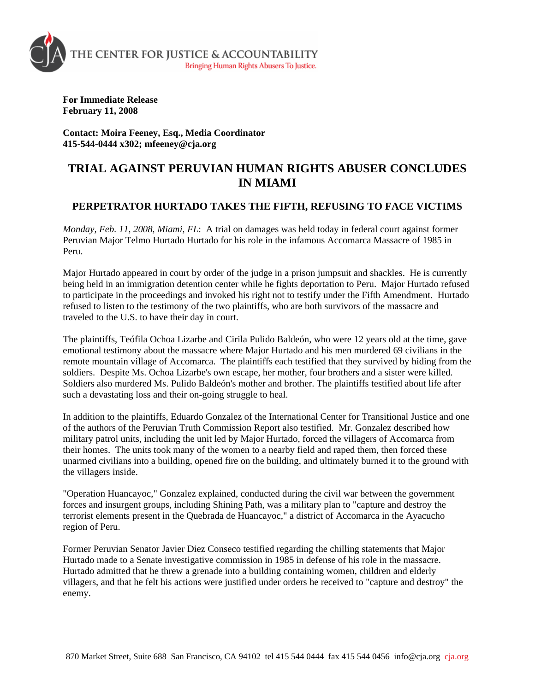

**For Immediate Release February 11, 2008** 

**Contact: Moira Feeney, Esq., Media Coordinator 415-544-0444 x302; mfeeney@cja.org** 

## **TRIAL AGAINST PERUVIAN HUMAN RIGHTS ABUSER CONCLUDES IN MIAMI**

## **PERPETRATOR HURTADO TAKES THE FIFTH, REFUSING TO FACE VICTIMS**

*Monday, Feb. 11, 2008, Miami, FL*: A trial on damages was held today in federal court against former Peruvian Major Telmo Hurtado Hurtado for his role in the infamous Accomarca Massacre of 1985 in Peru.

Major Hurtado appeared in court by order of the judge in a prison jumpsuit and shackles. He is currently being held in an immigration detention center while he fights deportation to Peru. Major Hurtado refused to participate in the proceedings and invoked his right not to testify under the Fifth Amendment. Hurtado refused to listen to the testimony of the two plaintiffs, who are both survivors of the massacre and traveled to the U.S. to have their day in court.

The plaintiffs, Teófila Ochoa Lizarbe and Cirila Pulido Baldeón, who were 12 years old at the time, gave emotional testimony about the massacre where Major Hurtado and his men murdered 69 civilians in the remote mountain village of Accomarca. The plaintiffs each testified that they survived by hiding from the soldiers. Despite Ms. Ochoa Lizarbe's own escape, her mother, four brothers and a sister were killed. Soldiers also murdered Ms. Pulido Baldeón's mother and brother. The plaintiffs testified about life after such a devastating loss and their on-going struggle to heal.

In addition to the plaintiffs, Eduardo Gonzalez of the International Center for Transitional Justice and one of the authors of the Peruvian Truth Commission Report also testified. Mr. Gonzalez described how military patrol units, including the unit led by Major Hurtado, forced the villagers of Accomarca from their homes. The units took many of the women to a nearby field and raped them, then forced these unarmed civilians into a building, opened fire on the building, and ultimately burned it to the ground with the villagers inside.

"Operation Huancayoc," Gonzalez explained, conducted during the civil war between the government forces and insurgent groups, including Shining Path, was a military plan to "capture and destroy the terrorist elements present in the Quebrada de Huancayoc," a district of Accomarca in the Ayacucho region of Peru.

Former Peruvian Senator Javier Diez Conseco testified regarding the chilling statements that Major Hurtado made to a Senate investigative commission in 1985 in defense of his role in the massacre. Hurtado admitted that he threw a grenade into a building containing women, children and elderly villagers, and that he felt his actions were justified under orders he received to "capture and destroy" the enemy.